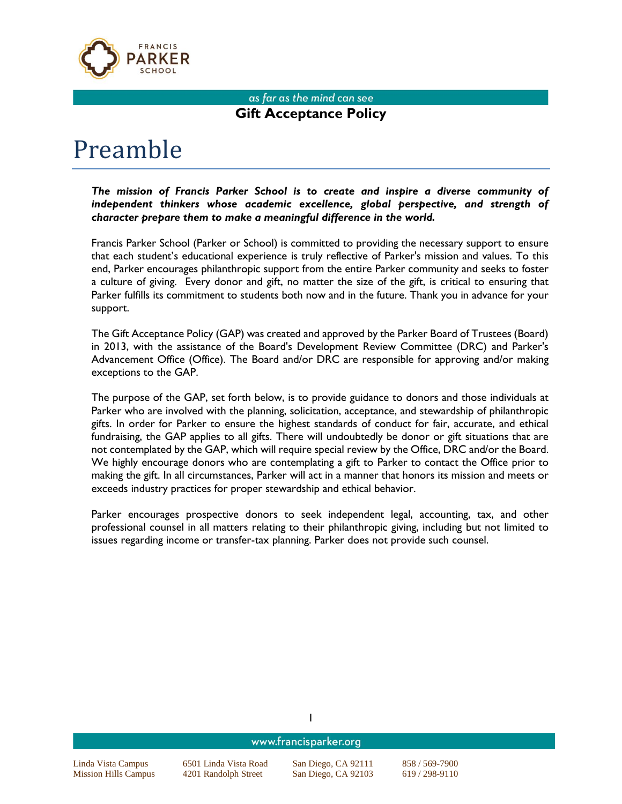

### as far as the mind can see **Gift Acceptance Policy**

# Preamble

*The mission of Francis Parker School is to create and inspire a diverse community of*  independent thinkers whose academic excellence, global perspective, and strength of *character prepare them to make a meaningful difference in the world.*

Francis Parker School (Parker or School) is committed to providing the necessary support to ensure that each student's educational experience is truly reflective of Parker's mission and values. To this end, Parker encourages philanthropic support from the entire Parker community and seeks to foster a culture of giving. Every donor and gift, no matter the size of the gift, is critical to ensuring that Parker fulfills its commitment to students both now and in the future. Thank you in advance for your support.

The Gift Acceptance Policy (GAP) was created and approved by the Parker Board of Trustees (Board) in 2013, with the assistance of the Board's Development Review Committee (DRC) and Parker's Advancement Office (Office). The Board and/or DRC are responsible for approving and/or making exceptions to the GAP.

The purpose of the GAP, set forth below, is to provide guidance to donors and those individuals at Parker who are involved with the planning, solicitation, acceptance, and stewardship of philanthropic gifts. In order for Parker to ensure the highest standards of conduct for fair, accurate, and ethical fundraising, the GAP applies to all gifts. There will undoubtedly be donor or gift situations that are not contemplated by the GAP, which will require special review by the Office, DRC and/or the Board. We highly encourage donors who are contemplating a gift to Parker to contact the Office prior to making the gift. In all circumstances, Parker will act in a manner that honors its mission and meets or exceeds industry practices for proper stewardship and ethical behavior.

Parker encourages prospective donors to seek independent legal, accounting, tax, and other professional counsel in all matters relating to their philanthropic giving, including but not limited to issues regarding income or transfer-tax planning. Parker does not provide such counsel.

|                             | www.francisparker.org |                     |                |  |  |
|-----------------------------|-----------------------|---------------------|----------------|--|--|
| Linda Vista Campus          | 6501 Linda Vista Road | San Diego, CA 92111 | 858/569-7900   |  |  |
| <b>Mission Hills Campus</b> | 4201 Randolph Street  | San Diego, CA 92103 | $619/298-9110$ |  |  |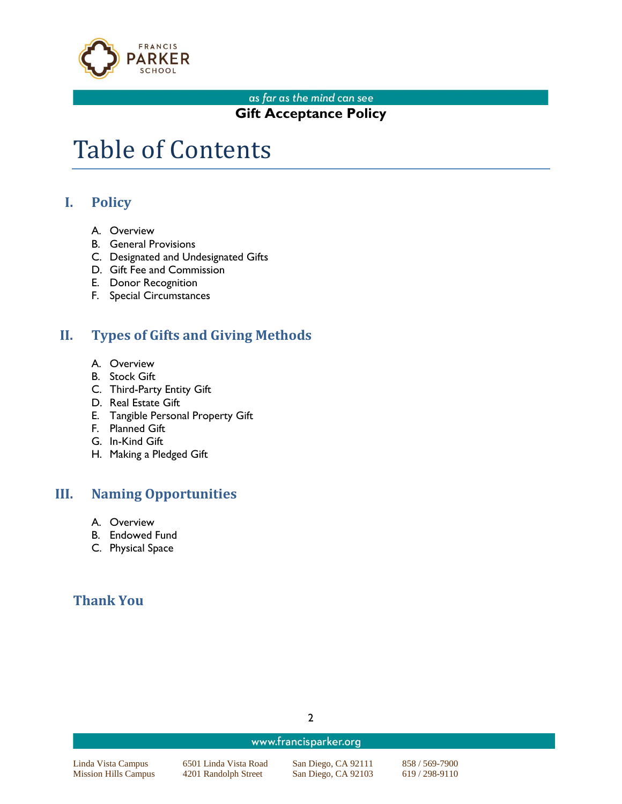

## **Gift Acceptance Policy**

## Table of Contents

## **I. Policy**

- A. Overview
- B. General Provisions
- C. Designated and Undesignated Gifts
- D. Gift Fee and Commission
- E. Donor Recognition
- F. Special Circumstances

## **II. Types of Gifts and Giving Methods**

- A. Overview
- B. Stock Gift
- C. Third-Party Entity Gift
- D. Real Estate Gift
- E. Tangible Personal Property Gift
- F. Planned Gift
- G. In-Kind Gift
- H. Making a Pledged Gift

## **III. Naming Opportunities**

- A. Overview
- B. Endowed Fund
- C. Physical Space

## **Thank You**

www.francisparker.org

Linda Vista Campus 6501 Linda Vista Road San Diego, CA 92111 858 / 569-7900 Mission Hills Campus 4201 Randolph Street San Diego, CA 92103 619 / 298-9110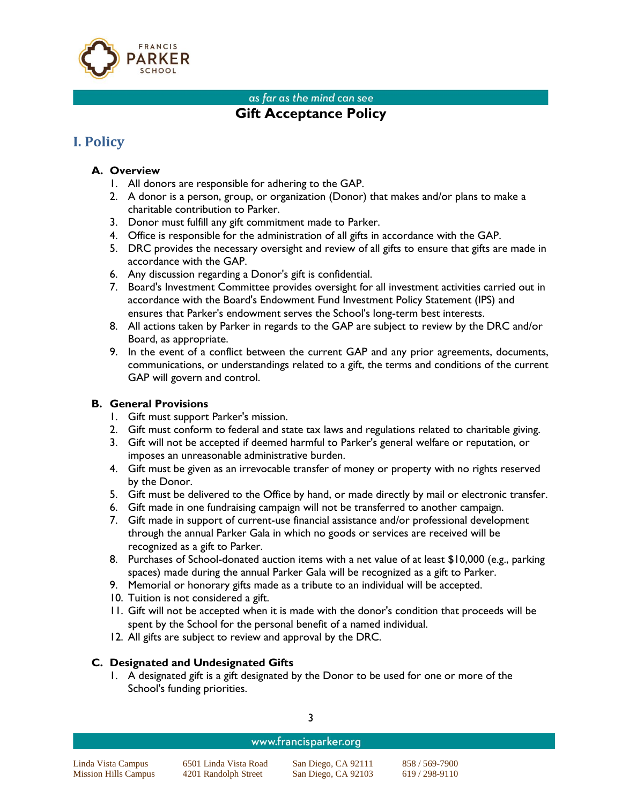

## **Gift Acceptance Policy**

## **I. Policy**

#### **A. Overview**

- 1. All donors are responsible for adhering to the GAP.
- 2. A donor is a person, group, or organization (Donor) that makes and/or plans to make a charitable contribution to Parker.
- 3. Donor must fulfill any gift commitment made to Parker.
- 4. Office is responsible for the administration of all gifts in accordance with the GAP.
- 5. DRC provides the necessary oversight and review of all gifts to ensure that gifts are made in accordance with the GAP.
- 6. Any discussion regarding a Donor's gift is confidential.
- 7. Board's Investment Committee provides oversight for all investment activities carried out in accordance with the Board's Endowment Fund Investment Policy Statement (IPS) and ensures that Parker's endowment serves the School's long-term best interests.
- 8. All actions taken by Parker in regards to the GAP are subject to review by the DRC and/or Board, as appropriate.
- 9. In the event of a conflict between the current GAP and any prior agreements, documents, communications, or understandings related to a gift, the terms and conditions of the current GAP will govern and control.

#### **B. General Provisions**

- 1. Gift must support Parker's mission.
- 2. Gift must conform to federal and state tax laws and regulations related to charitable giving.
- 3. Gift will not be accepted if deemed harmful to Parker's general welfare or reputation, or imposes an unreasonable administrative burden.
- 4. Gift must be given as an irrevocable transfer of money or property with no rights reserved by the Donor.
- 5. Gift must be delivered to the Office by hand, or made directly by mail or electronic transfer.
- 6. Gift made in one fundraising campaign will not be transferred to another campaign.
- 7. Gift made in support of current-use financial assistance and/or professional development through the annual Parker Gala in which no goods or services are received will be recognized as a gift to Parker.
- 8. Purchases of School-donated auction items with a net value of at least \$10,000 (e.g., parking spaces) made during the annual Parker Gala will be recognized as a gift to Parker.
- 9. Memorial or honorary gifts made as a tribute to an individual will be accepted.
- 10. Tuition is not considered a gift.
- 11. Gift will not be accepted when it is made with the donor's condition that proceeds will be spent by the School for the personal benefit of a named individual.
- 12. All gifts are subject to review and approval by the DRC.

#### **C. Designated and Undesignated Gifts**

1. A designated gift is a gift designated by the Donor to be used for one or more of the School's funding priorities.

| ۰  |         |
|----|---------|
| ×  |         |
|    | I       |
| ۰. | I<br>۰. |

#### www.francisparker.org

Linda Vista Campus 6501 Linda Vista Road San Diego, CA 92111 858 / 569-7900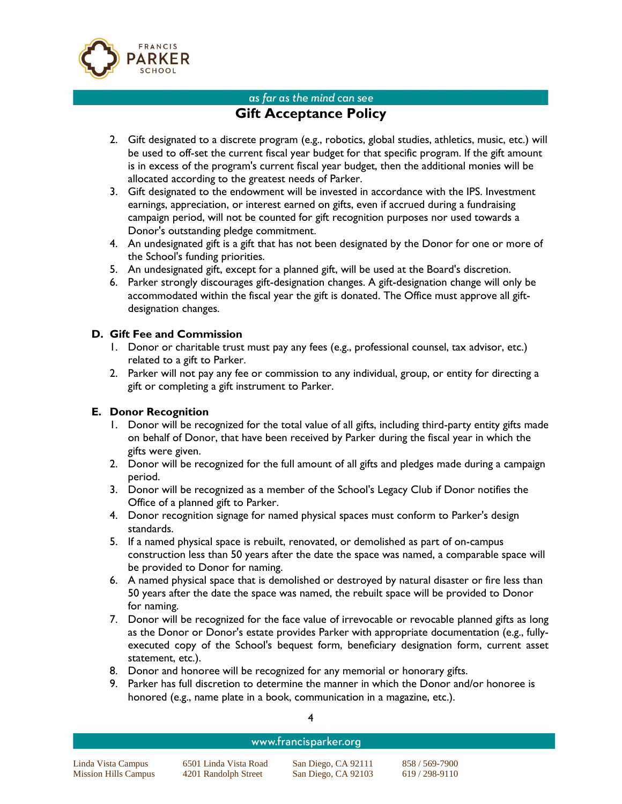

## **Gift Acceptance Policy**

- 2. Gift designated to a discrete program (e.g., robotics, global studies, athletics, music, etc.) will be used to off-set the current fiscal year budget for that specific program. If the gift amount is in excess of the program's current fiscal year budget, then the additional monies will be allocated according to the greatest needs of Parker.
- 3. Gift designated to the endowment will be invested in accordance with the IPS. Investment earnings, appreciation, or interest earned on gifts, even if accrued during a fundraising campaign period, will not be counted for gift recognition purposes nor used towards a Donor's outstanding pledge commitment.
- 4. An undesignated gift is a gift that has not been designated by the Donor for one or more of the School's funding priorities.
- 5. An undesignated gift, except for a planned gift, will be used at the Board's discretion.
- 6. Parker strongly discourages gift-designation changes. A gift-designation change will only be accommodated within the fiscal year the gift is donated. The Office must approve all giftdesignation changes.

#### **D. Gift Fee and Commission**

- 1. Donor or charitable trust must pay any fees (e.g., professional counsel, tax advisor, etc.) related to a gift to Parker.
- 2. Parker will not pay any fee or commission to any individual, group, or entity for directing a gift or completing a gift instrument to Parker.

#### **E. Donor Recognition**

- 1. Donor will be recognized for the total value of all gifts, including third-party entity gifts made on behalf of Donor, that have been received by Parker during the fiscal year in which the gifts were given.
- 2. Donor will be recognized for the full amount of all gifts and pledges made during a campaign period.
- 3. Donor will be recognized as a member of the School's Legacy Club if Donor notifies the Office of a planned gift to Parker.
- 4. Donor recognition signage for named physical spaces must conform to Parker's design standards.
- 5. If a named physical space is rebuilt, renovated, or demolished as part of on-campus construction less than 50 years after the date the space was named, a comparable space will be provided to Donor for naming.
- 6. A named physical space that is demolished or destroyed by natural disaster or fire less than 50 years after the date the space was named, the rebuilt space will be provided to Donor for naming.
- 7. Donor will be recognized for the face value of irrevocable or revocable planned gifts as long as the Donor or Donor's estate provides Parker with appropriate documentation (e.g., fullyexecuted copy of the School's bequest form, beneficiary designation form, current asset statement, etc.).
- 8. Donor and honoree will be recognized for any memorial or honorary gifts.
- 9. Parker has full discretion to determine the manner in which the Donor and/or honoree is honored (e.g., name plate in a book, communication in a magazine, etc.).

#### www.francisparker.org

Linda Vista Campus 6501 Linda Vista Road San Diego, CA 92111 858 / 569-7900 Mission Hills Campus 4201 Randolph Street San Diego, CA 92103 619 / 298-9110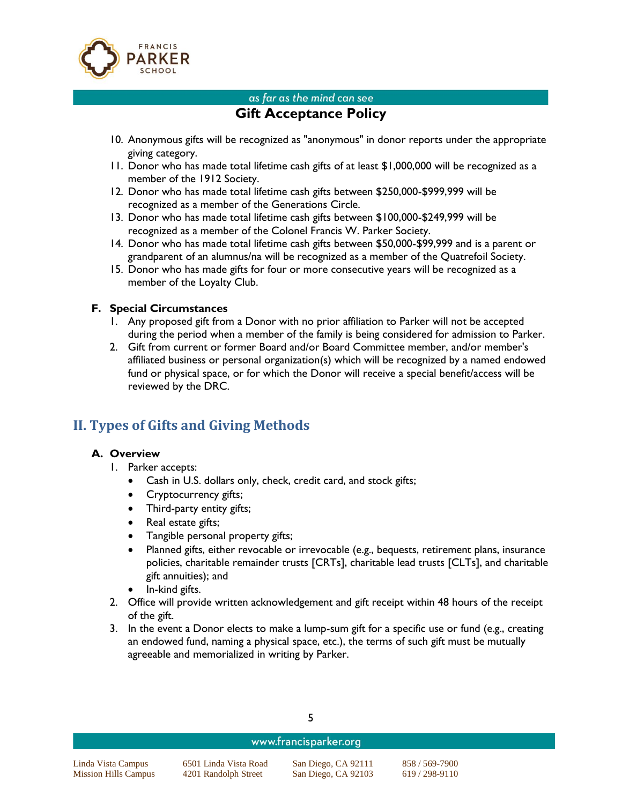

## **Gift Acceptance Policy**

- 10. Anonymous gifts will be recognized as "anonymous" in donor reports under the appropriate giving category.
- 11. Donor who has made total lifetime cash gifts of at least \$1,000,000 will be recognized as a member of the 1912 Society.
- 12. Donor who has made total lifetime cash gifts between \$250,000-\$999,999 will be recognized as a member of the Generations Circle.
- 13. Donor who has made total lifetime cash gifts between \$100,000-\$249,999 will be recognized as a member of the Colonel Francis W. Parker Society.
- 14. Donor who has made total lifetime cash gifts between \$50,000-\$99,999 and is a parent or grandparent of an alumnus/na will be recognized as a member of the Quatrefoil Society.
- 15. Donor who has made gifts for four or more consecutive years will be recognized as a member of the Loyalty Club.

#### **F. Special Circumstances**

- 1. Any proposed gift from a Donor with no prior affiliation to Parker will not be accepted during the period when a member of the family is being considered for admission to Parker.
- 2. Gift from current or former Board and/or Board Committee member, and/or member's affiliated business or personal organization(s) which will be recognized by a named endowed fund or physical space, or for which the Donor will receive a special benefit/access will be reviewed by the DRC.

## **II. Types of Gifts and Giving Methods**

#### **A. Overview**

- 1. Parker accepts:
	- Cash in U.S. dollars only, check, credit card, and stock gifts;
	- Cryptocurrency gifts;
	- Third-party entity gifts;
	- Real estate gifts;
	- Tangible personal property gifts;
	- Planned gifts, either revocable or irrevocable (e.g., bequests, retirement plans, insurance policies, charitable remainder trusts [CRTs], charitable lead trusts [CLTs], and charitable gift annuities); and
	- In-kind gifts.
- 2. Office will provide written acknowledgement and gift receipt within 48 hours of the receipt of the gift.
- 3. In the event a Donor elects to make a lump-sum gift for a specific use or fund (e.g., creating an endowed fund, naming a physical space, etc.), the terms of such gift must be mutually agreeable and memorialized in writing by Parker.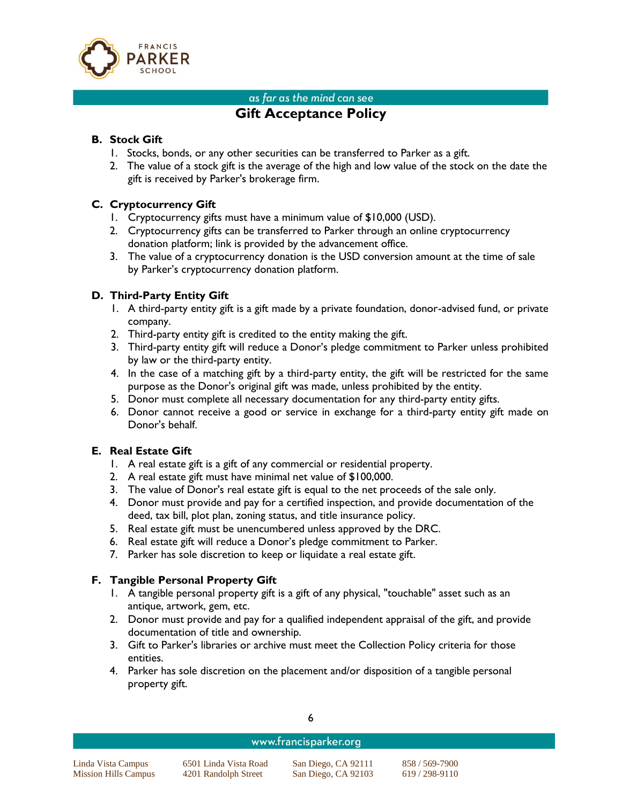

## **Gift Acceptance Policy**

#### **B. Stock Gift**

- 1. Stocks, bonds, or any other securities can be transferred to Parker as a gift.
- 2. The value of a stock gift is the average of the high and low value of the stock on the date the gift is received by Parker's brokerage firm.

#### **C. Cryptocurrency Gift**

- 1. Cryptocurrency gifts must have a minimum value of \$10,000 (USD).
- 2. Cryptocurrency gifts can be transferred to Parker through an online cryptocurrency donation platform; link is provided by the advancement office.
- 3. The value of a cryptocurrency donation is the USD conversion amount at the time of sale by Parker's cryptocurrency donation platform.

#### **D. Third-Party Entity Gift**

- 1. A third-party entity gift is a gift made by a private foundation, donor-advised fund, or private company.
- 2. Third-party entity gift is credited to the entity making the gift.
- 3. Third-party entity gift will reduce a Donor's pledge commitment to Parker unless prohibited by law or the third-party entity.
- 4. In the case of a matching gift by a third-party entity, the gift will be restricted for the same purpose as the Donor's original gift was made, unless prohibited by the entity.
- 5. Donor must complete all necessary documentation for any third-party entity gifts.
- 6. Donor cannot receive a good or service in exchange for a third-party entity gift made on Donor's behalf.

#### **E. Real Estate Gift**

- 1. A real estate gift is a gift of any commercial or residential property.
- 2. A real estate gift must have minimal net value of \$100,000.
- 3. The value of Donor's real estate gift is equal to the net proceeds of the sale only.
- 4. Donor must provide and pay for a certified inspection, and provide documentation of the deed, tax bill, plot plan, zoning status, and title insurance policy.
- 5. Real estate gift must be unencumbered unless approved by the DRC.
- 6. Real estate gift will reduce a Donor's pledge commitment to Parker.
- 7. Parker has sole discretion to keep or liquidate a real estate gift.

#### **F. Tangible Personal Property Gift**

- 1. A tangible personal property gift is a gift of any physical, "touchable" asset such as an antique, artwork, gem, etc.
- 2. Donor must provide and pay for a qualified independent appraisal of the gift, and provide documentation of title and ownership.
- 3. Gift to Parker's libraries or archive must meet the Collection Policy criteria for those entities.
- 4. Parker has sole discretion on the placement and/or disposition of a tangible personal property gift.

### www.francisparker.org

Linda Vista Campus 6501 Linda Vista Road San Diego, CA 92111 858 / 569-7900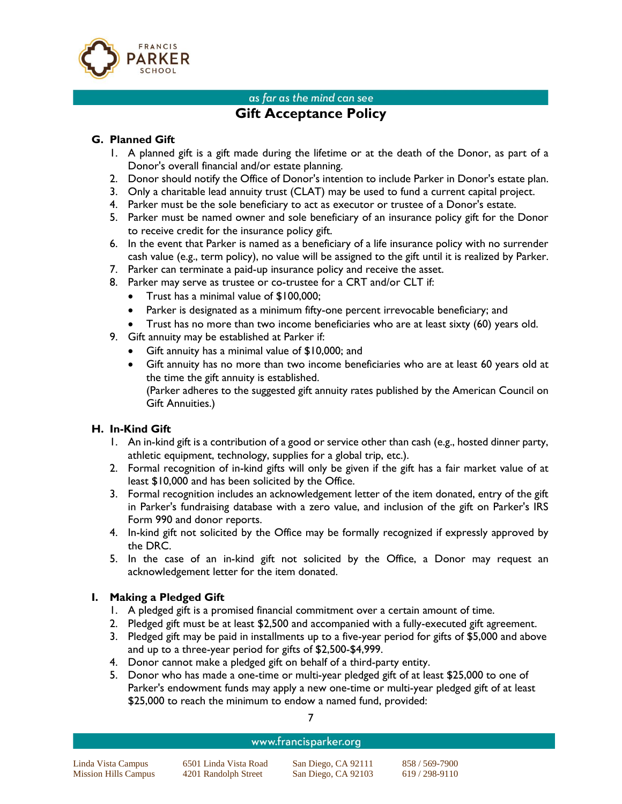

## **Gift Acceptance Policy**

#### **G. Planned Gift**

- 1. A planned gift is a gift made during the lifetime or at the death of the Donor, as part of a Donor's overall financial and/or estate planning.
- 2. Donor should notify the Office of Donor's intention to include Parker in Donor's estate plan.
- 3. Only a charitable lead annuity trust (CLAT) may be used to fund a current capital project.
- 4. Parker must be the sole beneficiary to act as executor or trustee of a Donor's estate.
- 5. Parker must be named owner and sole beneficiary of an insurance policy gift for the Donor to receive credit for the insurance policy gift.
- 6. In the event that Parker is named as a beneficiary of a life insurance policy with no surrender cash value (e.g., term policy), no value will be assigned to the gift until it is realized by Parker.
- 7. Parker can terminate a paid-up insurance policy and receive the asset.
- 8. Parker may serve as trustee or co-trustee for a CRT and/or CLT if:
	- Trust has a minimal value of \$100,000;
	- Parker is designated as a minimum fifty-one percent irrevocable beneficiary; and
	- Trust has no more than two income beneficiaries who are at least sixty (60) years old.
- 9. Gift annuity may be established at Parker if:
	- Gift annuity has a minimal value of \$10,000; and
	- Gift annuity has no more than two income beneficiaries who are at least 60 years old at the time the gift annuity is established.

(Parker adheres to the suggested gift annuity rates published by the American Council on Gift Annuities.)

#### **H. In-Kind Gift**

- 1. An in-kind gift is a contribution of a good or service other than cash (e.g., hosted dinner party, athletic equipment, technology, supplies for a global trip, etc.).
- 2. Formal recognition of in-kind gifts will only be given if the gift has a fair market value of at least \$10,000 and has been solicited by the Office.
- 3. Formal recognition includes an acknowledgement letter of the item donated, entry of the gift in Parker's fundraising database with a zero value, and inclusion of the gift on Parker's IRS Form 990 and donor reports.
- 4. In-kind gift not solicited by the Office may be formally recognized if expressly approved by the DRC.
- 5. In the case of an in-kind gift not solicited by the Office, a Donor may request an acknowledgement letter for the item donated.

#### **I. Making a Pledged Gift**

- 1. A pledged gift is a promised financial commitment over a certain amount of time.
- 2. Pledged gift must be at least \$2,500 and accompanied with a fully-executed gift agreement.
- 3. Pledged gift may be paid in installments up to a five-year period for gifts of \$5,000 and above and up to a three-year period for gifts of \$2,500-\$4,999.
- 4. Donor cannot make a pledged gift on behalf of a third-party entity.
- 5. Donor who has made a one-time or multi-year pledged gift of at least \$25,000 to one of Parker's endowment funds may apply a new one-time or multi-year pledged gift of at least \$25,000 to reach the minimum to endow a named fund, provided:

#### www.francisparker.org

Linda Vista Campus 6501 Linda Vista Road San Diego, CA 92111 858 / 569-7900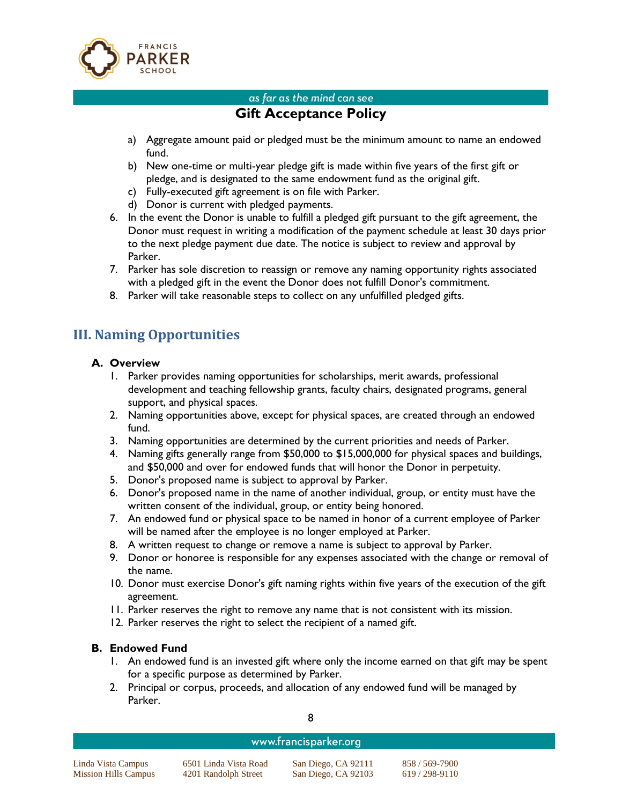

## **Gift Acceptance Policy**

- a) Aggregate amount paid or pledged must be the minimum amount to name an endowed fund.
- b) New one-time or multi-year pledge gift is made within five years of the first gift or pledge, and is designated to the same endowment fund as the original gift.
- c) Fully-executed gift agreement is on file with Parker.
- d) Donor is current with pledged payments.
- 6. In the event the Donor is unable to fulfill a pledged gift pursuant to the gift agreement, the Donor must request in writing a modification of the payment schedule at least 30 days prior to the next pledge payment due date. The notice is subject to review and approval by Parker.
- 7. Parker has sole discretion to reassign or remove any naming opportunity rights associated with a pledged gift in the event the Donor does not fulfill Donor's commitment.
- 8. Parker will take reasonable steps to collect on any unfulfilled pledged gifts.

## **III. Naming Opportunities**

#### **A. Overview**

- 1. Parker provides naming opportunities for scholarships, merit awards, professional development and teaching fellowship grants, faculty chairs, designated programs, general support, and physical spaces.
- 2. Naming opportunities above, except for physical spaces, are created through an endowed fund.
- 3. Naming opportunities are determined by the current priorities and needs of Parker.
- 4. Naming gifts generally range from \$50,000 to \$15,000,000 for physical spaces and buildings, and \$50,000 and over for endowed funds that will honor the Donor in perpetuity.
- 5. Donor's proposed name is subject to approval by Parker.
- 6. Donor's proposed name in the name of another individual, group, or entity must have the written consent of the individual, group, or entity being honored.
- 7. An endowed fund or physical space to be named in honor of a current employee of Parker will be named after the employee is no longer employed at Parker.
- 8. A written request to change or remove a name is subject to approval by Parker.
- 9. Donor or honoree is responsible for any expenses associated with the change or removal of the name.
- 10. Donor must exercise Donor's gift naming rights within five years of the execution of the gift agreement.
- 11. Parker reserves the right to remove any name that is not consistent with its mission.
- 12. Parker reserves the right to select the recipient of a named gift.

#### **B. Endowed Fund**

- 1. An endowed fund is an invested gift where only the income earned on that gift may be spent for a specific purpose as determined by Parker.
- 2. Principal or corpus, proceeds, and allocation of any endowed fund will be managed by Parker.

#### www.francisparker.org

Linda Vista Campus 6501 Linda Vista Road San Diego, CA 92111 858 / 569-7900